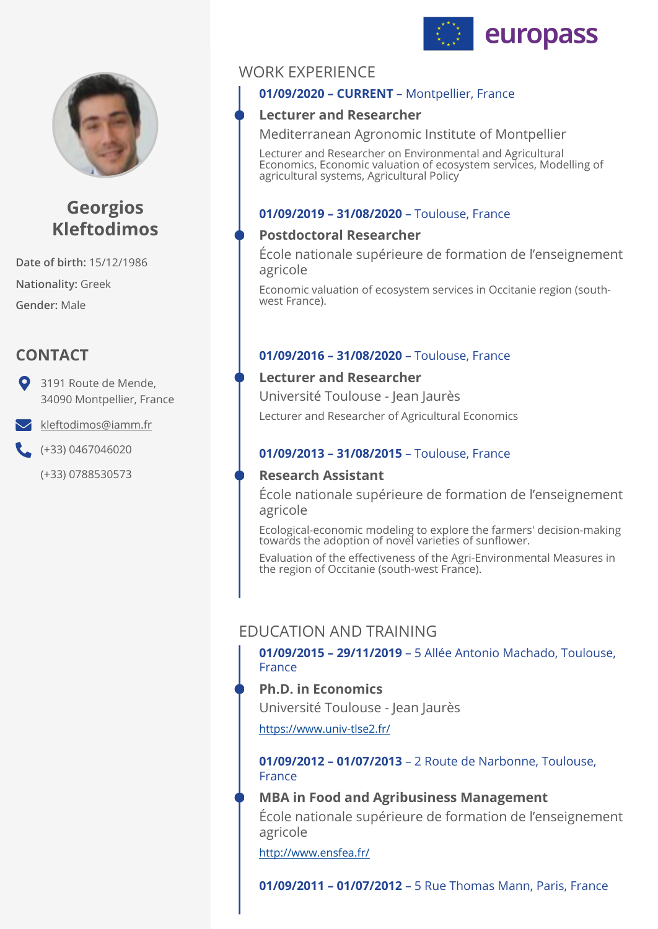



# **Georgios Kleftodimos**

**Date of birth:** 15/12/1986 **Nationality:** Greek **Gender:** Male

## **CONTACT**

3191 Route de Mende, 34090 Montpellier, France

[kleftodimos@iamm.fr](mailto:kleftodimos@iamm.fr)

(+33) 0467046020

(+33) 0788530573

## WORK EXPERIENCE

## **01/09/2020 – CURRENT** – Montpellier, France

## **Lecturer and Researcher**

Mediterranean Agronomic Institute of Montpellier

Lecturer and Researcher on Environmental and Agricultural Economics, Economic valuation of ecosystem services, Modelling of agricultural systems, Agricultural Policy

### **01/09/2019 – 31/08/2020** – Toulouse, France

## **Postdoctoral Researcher**

École nationale supérieure de formation de l'enseignement agricole

Economic valuation of ecosystem services in Occitanie region (southwest France).

### **01/09/2016 – 31/08/2020** – Toulouse, France

### **Lecturer and Researcher**

Lecturer and Researcher of Agricultural Economics Université Toulouse - Jean Jaurès

### **01/09/2013 – 31/08/2015** – Toulouse, France

## **Research Assistant**

École nationale supérieure de formation de l'enseignement agricole

Ecological-economic modeling to explore the farmers' decision-making towards the adoption of novel varieties of sunflower.

Evaluation of the effectiveness of the Agri-Environmental Measures in the region of Occitanie (south-west France).

## EDUCATION AND TRAINING

**01/09/2015 – 29/11/2019** – 5 Allée Antonio Machado, Toulouse, France

**Ph.D. in Economics**  Université Toulouse - Jean Jaurès

<https://www.univ-tlse2.fr/>

**01/09/2012 – 01/07/2013** – 2 Route de Narbonne, Toulouse, France

### **MBA in Food and Agribusiness Management**

École nationale supérieure de formation de l'enseignement agricole

<http://www.ensfea.fr/>

**01/09/2011 – 01/07/2012** – 5 Rue Thomas Mann, Paris, France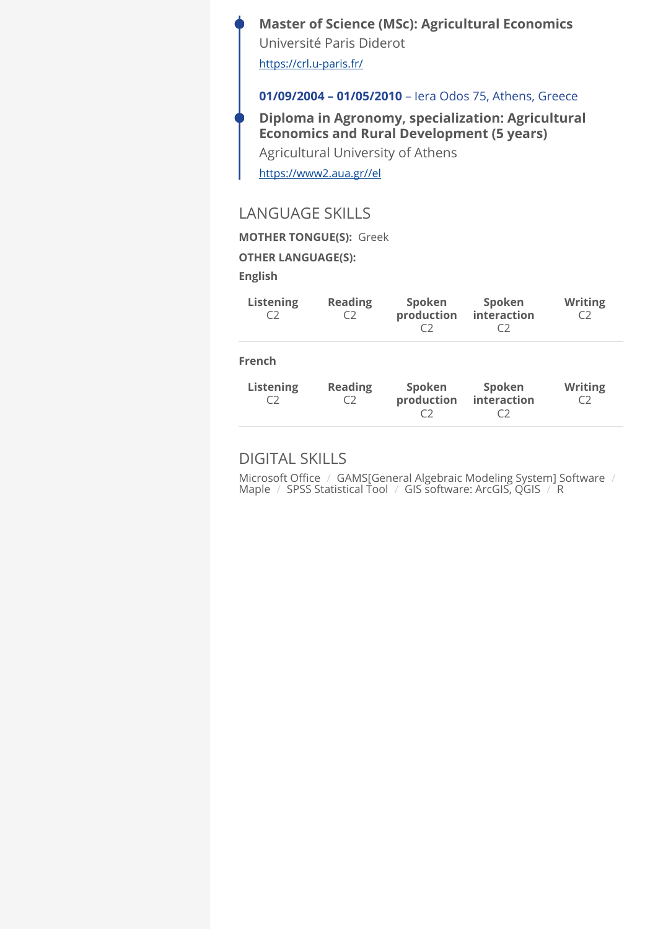## **Μaster of Science (MSc): Agricultural Economics**  Université Paris Diderot

<https://crl.u-paris.fr/>

#### **01/09/2004 – 01/05/2010** – Iera Odos 75, Athens, Greece

**Diploma in Agronomy, specialization: Agricultural Economics and Rural Development (5 years)**  Agricultural University of Athens

<https://www2.aua.gr//el>

## LANGUAGE SKILLS

**MOTHER TONGUE(S):** Greek

**OTHER LANGUAGE(S):**

**English** 

| <b>Listening</b><br>C2                  | <b>Reading</b><br>C2 | Spoken<br>production<br>C) | Spoken<br>interaction<br>C) | <b>Writing</b><br>C) |
|-----------------------------------------|----------------------|----------------------------|-----------------------------|----------------------|
| <b>French</b><br><b>Listening</b><br>C2 | <b>Reading</b><br>C2 | Spoken<br>production       | Spoken<br>interaction       | <b>Writing</b><br>C) |

## DIGITAL SKILLS

Microsoft Office / GAMS[General Algebraic Modeling System] Software / Maple / SPSS Statistical Tool / GIS software: ArcGIS, QGIS / R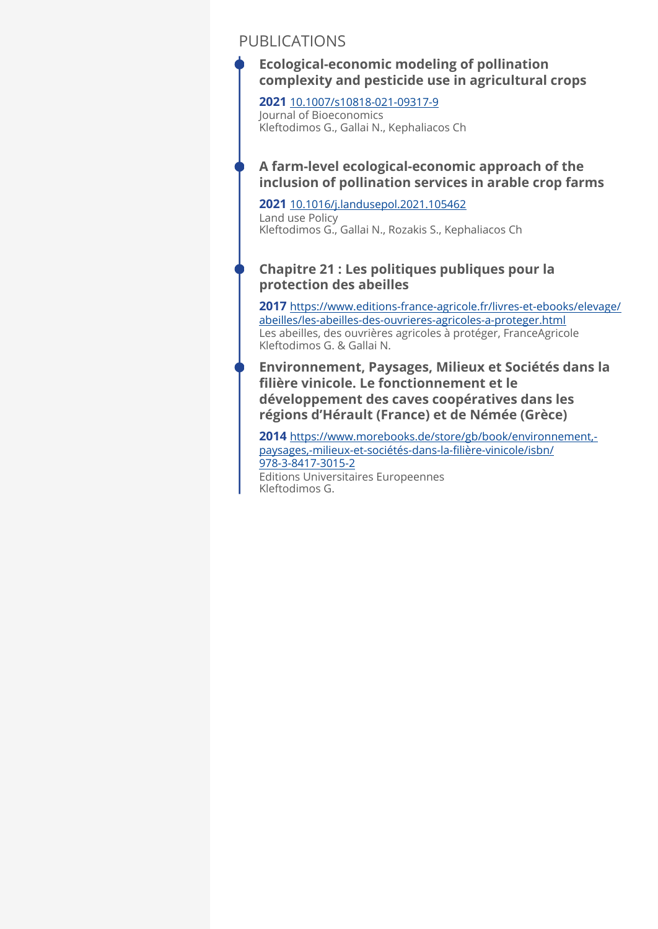## PUBLICATIONS

**Ecological-economic modeling of pollination complexity and pesticide use in agricultural crops** 

**2021** [10.1007/s10818-021-09317-9](http://10.1007/s10818-021-09317-9) Journal of Bioeconomics Kleftodimos G., Gallai N., Kephaliacos Ch

## **A farm-level ecological-economic approach of the inclusion of pollination services in arable crop farms**

**2021** [10.1016/j.landusepol.2021.105462](http://%2010.1016/j.landusepol.2021.105462) Land use Policy Kleftodimos G., Gallai N., Rozakis S., Kephaliacos Ch

## **Chapitre 21 : Les politiques publiques pour la protection des abeilles**

**2017** [https://www.editions-france-agricole.fr/livres-et-ebooks/elevage/](https://www.editions-france-agricole.fr/livres-et-ebooks/elevage/abeilles/les-abeilles-des-ouvrieres-agricoles-a-proteger.html) [abeilles/les-abeilles-des-ouvrieres-agricoles-a-proteger.html](https://www.editions-france-agricole.fr/livres-et-ebooks/elevage/abeilles/les-abeilles-des-ouvrieres-agricoles-a-proteger.html) Les abeilles, des ouvrières agricoles à protéger, FranceAgricole Kleftodimos G. & Gallai N.

**Environnement, Paysages, Milieux et Sociétés dans la filière vinicole. Le fonctionnement et le développement des caves coopératives dans les régions d'Hérault (France) et de Némée (Grèce)** 

**2014** [https://www.morebooks.de/store/gb/book/environnement,](https://www.morebooks.de/store/gb/book/environnement,-paysages,-milieux-et-soci%C3%A9t%C3%A9s-dans-la-fili%C3%A8re-vinicole/isbn/978-3-8417-3015-2) [paysages,-milieux-et-sociétés-dans-la-](https://www.morebooks.de/store/gb/book/environnement,-paysages,-milieux-et-soci%C3%A9t%C3%A9s-dans-la-fili%C3%A8re-vinicole/isbn/978-3-8417-3015-2)filière-vinicole/isbn/ [978-3-8417-3015-2](https://www.morebooks.de/store/gb/book/environnement,-paysages,-milieux-et-soci%C3%A9t%C3%A9s-dans-la-fili%C3%A8re-vinicole/isbn/978-3-8417-3015-2) Editions Universitaires Europeennes Kleftodimos G.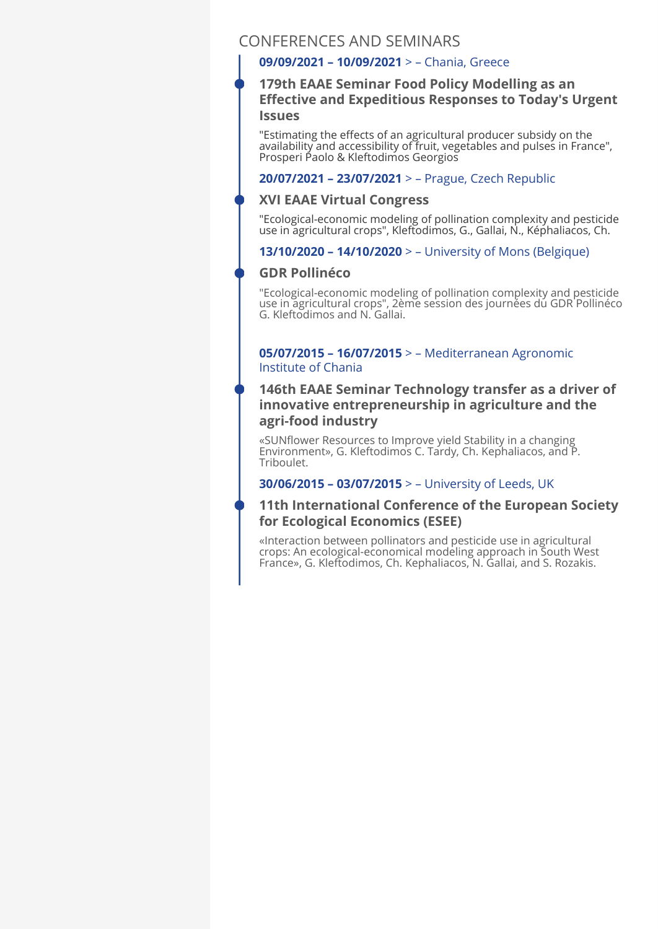## CONFERENCES AND SEMINARS

#### **09/09/2021 – 10/09/2021** > – Chania, Greece

#### **179th EAAE Seminar Food Policy Modelling as an Effective and Expeditious Responses to Today's Urgent Issues**

"Estimating the effects of an agricultural producer subsidy on the availability and accessibility of fruit, vegetables and pulses in France", Prosperi Paolo & Kleftodimos Georgios

#### **20/07/2021 – 23/07/2021** > – Prague, Czech Republic

#### **XVI EAAE Virtual Congress**

"Ecological-economic modeling of pollination complexity and pesticide use in agricultural crops", Kleftodimos, G., Gallai, N., Képhaliacos, Ch.

#### **13/10/2020 – 14/10/2020** > – University of Mons (Belgique)

#### **GDR Pollinéco**

"Ecological-economic modeling of pollination complexity and pesticide use in agricultural crops", 2ème session des journées du GDR Pollinéco G. Kleftodimos and N. Gallai.

#### **05/07/2015 – 16/07/2015** > – Mediterranean Agronomic Institute of Chania

#### **146th EAAE Seminar Technology transfer as a driver of innovative entrepreneurship in agriculture and the agri-food industry**

«SUNflower Resources to Improve yield Stability in a changing Environment», G. Kleftodimos C. Tardy, Ch. Kephaliacos, and P. Triboulet.

#### **30/06/2015 – 03/07/2015** > – University of Leeds, UK

### **11th International Conference of the European Society for Ecological Economics (ESEE)**

«Interaction between pollinators and pesticide use in agricultural crops: An ecological-economical modeling approach in South West France», G. Kleftodimos, Ch. Kephaliacos, N. Gallai, and S. Rozakis.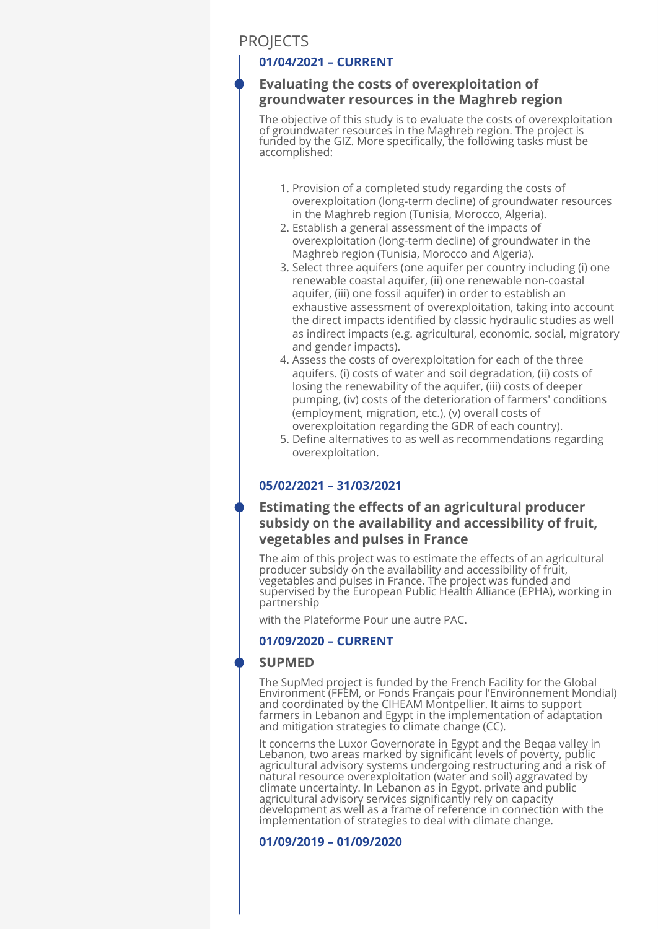## **PROJECTS**

#### **01/04/2021 – CURRENT**

#### **Evaluating the costs of overexploitation of groundwater resources in the Maghreb region**

The objective of this study is to evaluate the costs of overexploitation of groundwater resources in the Maghreb region. The project is funded by the GIZ. More specifically, the following tasks must be accomplished:

- 1. Provision of a completed study regarding the costs of overexploitation (long-term decline) of groundwater resources in the Maghreb region (Tunisia, Morocco, Algeria).
- Establish a general assessment of the impacts of 2. overexploitation (long-term decline) of groundwater in the Maghreb region (Tunisia, Morocco and Algeria).
- 3. Select three aquifers (one aquifer per country including (i) one renewable coastal aquifer, (ii) one renewable non-coastal aquifer, (iii) one fossil aquifer) in order to establish an exhaustive assessment of overexploitation, taking into account the direct impacts identified by classic hydraulic studies as well as indirect impacts (e.g. agricultural, economic, social, migratory and gender impacts).
- 4. Assess the costs of overexploitation for each of the three aquifers. (i) costs of water and soil degradation, (ii) costs of losing the renewability of the aquifer, (iii) costs of deeper pumping, (iv) costs of the deterioration of farmers' conditions (employment, migration, etc.), (v) overall costs of overexploitation regarding the GDR of each country).
- Define alternatives to as well as recommendations regarding 5. overexploitation.

#### **05/02/2021 – 31/03/2021**

### **Estimating the effects of an agricultural producer subsidy on the availability and accessibility of fruit, vegetables and pulses in France**

The aim of this project was to estimate the effects of an agricultural producer subsidy on the availability and accessibility of fruit, vegetables and pulses in France. The project was funded and supervised by the European Public Health Alliance (EPHA), working in partnership

with the Plateforme Pour une autre PAC.

#### **01/09/2020 – CURRENT**

#### **SUPMED**

The SupMed project is funded by the French Facility for the Global Environment (FFEM, or Fonds Français pour l'Environnement Mondial) and coordinated by the CIHEAM Montpellier. It aims to support farmers in Lebanon and Egypt in the implementation of adaptation and mitigation strategies to climate change (CC).

It concerns the Luxor Governorate in Egypt and the Beqaa valley in Lebanon, two areas marked by significant levels of poverty, public agricultural advisory systems undergoing restructuring and a risk of natural resource overexploitation (water and soil) aggravated by climate uncertainty. In Lebanon as in Egypt, private and public agricultural advisory services significantly rely on capacity development as well as a frame of reference in connection with the implementation of strategies to deal with climate change.

#### **01/09/2019 – 01/09/2020**